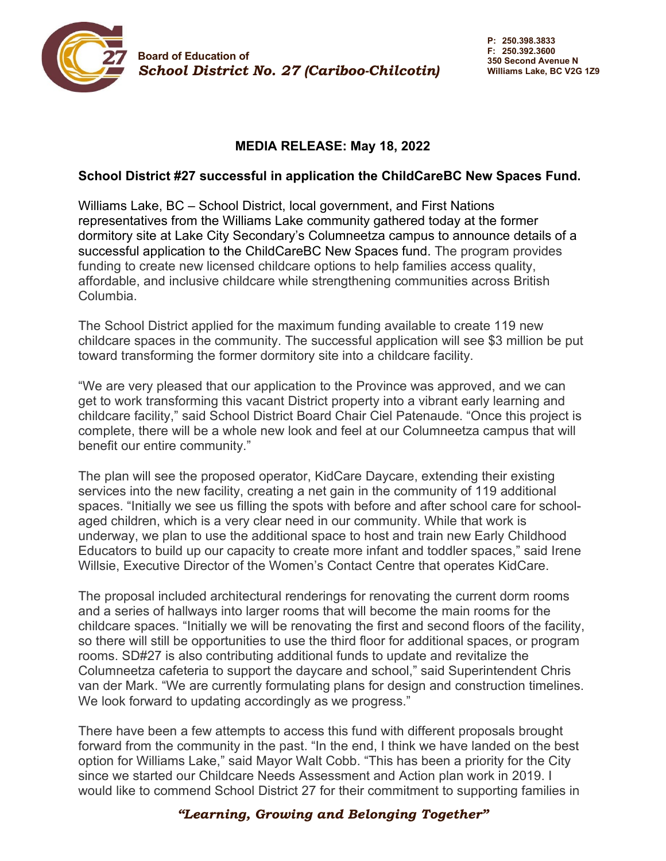

## **MEDIA RELEASE: May 18, 2022**

## **School District #27 successful in application the ChildCareBC New Spaces Fund.**

Williams Lake, BC – School District, local government, and First Nations representatives from the Williams Lake community gathered today at the former dormitory site at Lake City Secondary's Columneetza campus to announce details of a successful application to the ChildCareBC New Spaces fund. The program provides funding to create new licensed childcare options to help families access quality, affordable, and inclusive childcare while strengthening communities across British Columbia.

The School District applied for the maximum funding available to create 119 new childcare spaces in the community. The successful application will see \$3 million be put toward transforming the former dormitory site into a childcare facility.

"We are very pleased that our application to the Province was approved, and we can get to work transforming this vacant District property into a vibrant early learning and childcare facility," said School District Board Chair Ciel Patenaude. "Once this project is complete, there will be a whole new look and feel at our Columneetza campus that will benefit our entire community."

The plan will see the proposed operator, KidCare Daycare, extending their existing services into the new facility, creating a net gain in the community of 119 additional spaces. "Initially we see us filling the spots with before and after school care for schoolaged children, which is a very clear need in our community. While that work is underway, we plan to use the additional space to host and train new Early Childhood Educators to build up our capacity to create more infant and toddler spaces," said Irene Willsie, Executive Director of the Women's Contact Centre that operates KidCare.

The proposal included architectural renderings for renovating the current dorm rooms and a series of hallways into larger rooms that will become the main rooms for the childcare spaces. "Initially we will be renovating the first and second floors of the facility, so there will still be opportunities to use the third floor for additional spaces, or program rooms. SD#27 is also contributing additional funds to update and revitalize the Columneetza cafeteria to support the daycare and school," said Superintendent Chris van der Mark. "We are currently formulating plans for design and construction timelines. We look forward to updating accordingly as we progress."

There have been a few attempts to access this fund with different proposals brought forward from the community in the past. "In the end, I think we have landed on the best option for Williams Lake," said Mayor Walt Cobb. "This has been a priority for the City since we started our Childcare Needs Assessment and Action plan work in 2019. I would like to commend School District 27 for their commitment to supporting families in

## *"Learning, Growing and Belonging Together"*